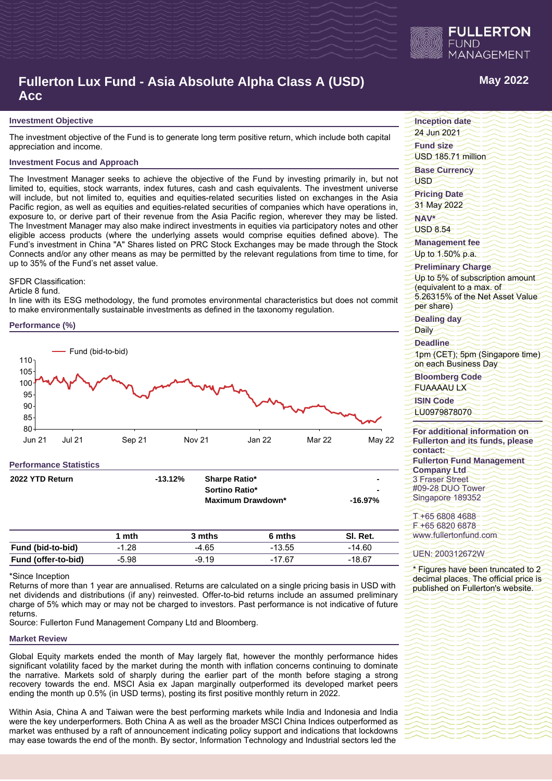

# **Fullerton Lux Fund - Asia Absolute Alpha Class A (USD) Acc**

### **Investment Objective**

The investment objective of the Fund is to generate long term positive return, which include both capital appreciation and income.

# **Investment Focus and Approach**

The Investment Manager seeks to achieve the objective of the Fund by investing primarily in, but not limited to, equities, stock warrants, index futures, cash and cash equivalents. The investment universe will include, but not limited to, equities and equities-related securities listed on exchanges in the Asia Pacific region, as well as equities and equities-related securities of companies which have operations in, exposure to, or derive part of their revenue from the Asia Pacific region, wherever they may be listed. The Investment Manager may also make indirect investments in equities via participatory notes and other eligible access products (where the underlying assets would comprise equities defined above). The Fund's investment in China "A" Shares listed on PRC Stock Exchanges may be made through the Stock Connects and/or any other means as may be permitted by the relevant regulations from time to time, for up to 35% of the Fund's net asset value.

### SFDR Classification:

#### Article 8 fund.

In line with its ESG methodology, the fund promotes environmental characteristics but does not commit to make environmentally sustainable investments as defined in the taxonomy regulation.

### **Performance (%)**



| 2022 YTD Return     |         | $-13.12%$ | Sharpe Ratio*<br>Sortino Ratio*<br><b>Maximum Drawdown*</b> |          | -16.97%  |
|---------------------|---------|-----------|-------------------------------------------------------------|----------|----------|
|                     | 1 mth   |           | 3 mths                                                      | 6 mths   | SI. Ret. |
| Fund (bid-to-bid)   | $-1.28$ |           | -4.65                                                       | $-13.55$ | $-14.60$ |
| Fund (offer-to-bid) | $-5.98$ |           | $-9.19$                                                     | $-17.67$ | $-18.67$ |

#### \*Since Inception

Returns of more than 1 year are annualised. Returns are calculated on a single pricing basis in USD with net dividends and distributions (if any) reinvested. Offer-to-bid returns include an assumed preliminary charge of 5% which may or may not be charged to investors. Past performance is not indicative of future returns.

Source: Fullerton Fund Management Company Ltd and Bloomberg.

### **Market Review**

Global Equity markets ended the month of May largely flat, however the monthly performance hides significant volatility faced by the market during the month with inflation concerns continuing to dominate the narrative. Markets sold of sharply during the earlier part of the month before staging a strong recovery towards the end. MSCI Asia ex Japan marginally outperformed its developed market peers ending the month up 0.5% (in USD terms), posting its first positive monthly return in 2022.

Within Asia, China A and Taiwan were the best performing markets while India and Indonesia and India were the key underperformers. Both China A as well as the broader MSCI China Indices outperformed as market was enthused by a raft of announcement indicating policy support and indications that lockdowns may ease towards the end of the month. By sector, Information Technology and Industrial sectors led the

# **May 2022**

**Inception date**

24 Jun 2021

**Fund size**

USD 185.71 million

**Base Currency**

**USD** 

**Pricing Date** 31 May 2022

**NAV\*** USD 8.54

**Management fee**

Up to 1.50% p.a.

# **Preliminary Charge**

Up to 5% of subscription amount (equivalent to a max. of 5.26315% of the Net Asset Value per share)

## **Dealing day**

Daily

**Deadline**

1pm (CET); 5pm (Singapore time) on each Business Day

**Bloomberg Code** FUAAAAU LX

# **ISIN Code**

LU0979878070

### **For additional information on Fullerton and its funds, please contact: Fullerton Fund Management Company Ltd** 3 Fraser Street #09-28 DUO Tower Singapore 189352

T +65 6808 4688 F +65 6820 6878 www.fullertonfund.com

### UEN: 200312672W

\* Figures have been truncated to 2 decimal places. The official price is published on Fullerton's website.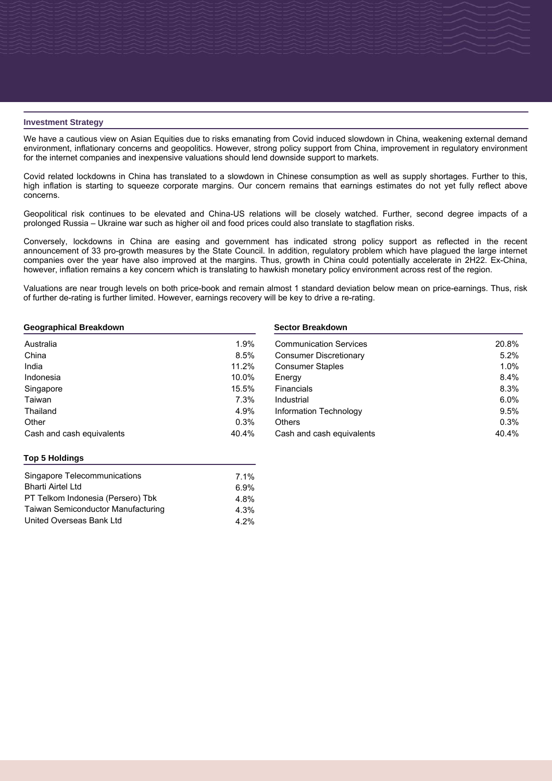### **Investment Strategy**

**31/05/2022** We have a cautious view on Asian Equities due to risks emanating from Covid induced slowdown in China, weakening external demand environment, inflationary concerns and geopolitics. However, strong policy support from China, improvement in regulatory environment for the internet companies and inexpensive valuations should lend downside support to markets.

Covid related lockdowns in China has translated to a slowdown in Chinese consumption as well as supply shortages. Further to this, high inflation is starting to squeeze corporate margins. Our concern remains that earnings estimates do not yet fully reflect above concerns.

Geopolitical risk continues to be elevated and China-US relations will be closely watched. Further, second degree impacts of a prolonged Russia – Ukraine war such as higher oil and food prices could also translate to stagflation risks.

Conversely, lockdowns in China are easing and government has indicated strong policy support as reflected in the recent announcement of 33 pro-growth measures by the State Council. In addition, regulatory problem which have plagued the large internet companies over the year have also improved at the margins. Thus, growth in China could potentially accelerate in 2H22. Ex-China, however, inflation remains a key concern which is translating to hawkish monetary policy environment across rest of the region.

Valuations are near trough levels on both price-book and remain almost 1 standard deviation below mean on price-earnings. Thus, risk of further de-rating is further limited. However, earnings recovery will be key to drive a re-rating.

| Geographical Breakdown |  |
|------------------------|--|
|------------------------|--|

| Australia                 | 1.9%  |
|---------------------------|-------|
| China                     | 8.5%  |
| India                     | 11.2% |
| Indonesia                 | 10.0% |
| Singapore                 | 15.5% |
| Taiwan                    | 7.3%  |
| Thailand                  | 4.9%  |
| Other                     | 0.3%  |
| Cash and cash equivalents | 40.4% |

### **Sector Breakdown**

| <b>Communication Services</b> | 20.8% |
|-------------------------------|-------|
| <b>Consumer Discretionary</b> | 5.2%  |
| <b>Consumer Staples</b>       | 1.0%  |
| Energy                        | 8.4%  |
| Financials                    | 8.3%  |
| Industrial                    | 6.0%  |
| Information Technology        | 9.5%  |
| <b>Others</b>                 | 0.3%  |
| Cash and cash equivalents     | 40.4% |

# **Top 5 Holdings**

| $7.1\%$ |
|---------|
| 6.9%    |
| 4.8%    |
| 4.3%    |
| $4.2\%$ |
|         |